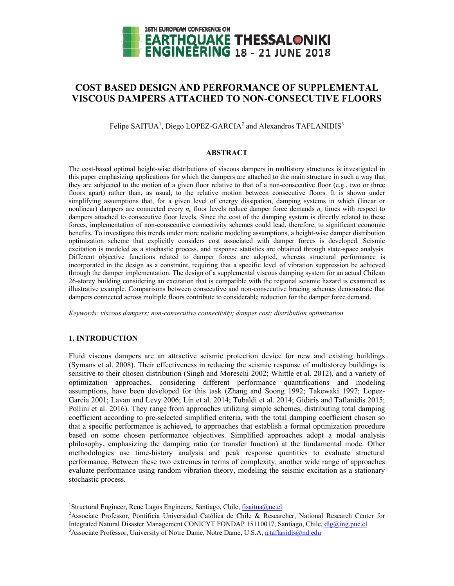

# **COST BASED DESIGN AND PERFORMANCE OF SUPPLEMENTAL VISCOUS DAMPERS ATTACHED TO NON-CONSECUTIVE FLOORS**

Felipe SAITUA<sup>1</sup>, Diego LOPEZ-GARCIA<sup>2</sup> and Alexandros TAFLANIDIS<sup>3</sup>

# **ABSTRACT**

The cost-based optimal height-wise distributions of viscous dampers in multistory structures is investigated in this paper emphasizing applications for which the dampers are attached to the main structure in such a way that they are subjected to the motion of a given floor relative to that of a non-consecutive floor (e.g., two or three floors apart) rather than, as usual, to the relative motion between consecutive floors. It is shown under simplifying assumptions that, for a given level of energy dissipation, damping systems in which (linear or nonlinear) dampers are connected every  $n_c$  floor levels reduce damper force demands  $n_c$  times with respect to dampers attached to consecutive floor levels. Since the cost of the damping system is directly related to these forces, implementation of non-consecutive connectivity schemes could lead, therefore, to significant economic benefits. To investigate this trends under more realistic modeling assumptions, a height-wise damper distribution optimization scheme that explicitly considers cost associated with damper forces is developed. Seismic excitation is modeled as a stochastic process, and response statistics are obtained through state-space analysis. Different objective functions related to damper forces are adopted, whereas structural performance is incorporated in the design as a constraint, requiring that a specific level of vibration suppression be achieved through the damper implementation. The design of a supplemental viscous damping system for an actual Chilean 26-storey building considering an excitation that is compatible with the regional seismic hazard is examined as illustrative example. Comparisons between consecutive and non-consecutive bracing schemes demonstrate that dampers connected across multiple floors contribute to considerable reduction for the damper force demand.

*Keywords: viscous dampers; non-consecutive connectivity; damper cost; distribution optimization* 

# **1. INTRODUCTION**

l

Fluid viscous dampers are an attractive seismic protection device for new and existing buildings (Symans et al. 2008). Their effectiveness in reducing the seismic response of multistorey buildings is sensitive to their chosen distribution (Singh and Moreschi 2002; Whittle et al. 2012), and a variety of optimization approaches, considering different performance quantifications and modeling assumptions, have been developed for this task (Zhang and Soong 1992; Takewaki 1997; Lopez-Garcia 2001; Lavan and Levy 2006; Lin et al. 2014; Tubaldi et al. 2014; Gidaris and Taflanidis 2015; Pollini et al. 2016). They range from approaches utilizing simple schemes, distributing total damping coefficient according to pre-selected simplified criteria, with the total damping coefficient chosen so that a specific performance is achieved, to approaches that establish a formal optimization procedure based on some chosen performance objectives. Simplified approaches adopt a modal analysis philosophy, emphasizing the damping ratio (or transfer function) at the fundamental mode. Other methodologies use time-history analysis and peak response quantities to evaluate structural performance. Between these two extremes in terms of complexity, another wide range of approaches evaluate performance using random vibration theory, modeling the seismic excitation as a stationary stochastic process.

<sup>&</sup>lt;sup>1</sup>Structural Engineer, Rene Lagos Engineers, Santiago, Chile, fisaitua@uc.cl.<br><sup>2</sup>Aesociate Professor, Bontificia Universidad Catálica de Chile, <sup>8</sup>r Bessens

<sup>&</sup>lt;sup>2</sup>Associate Professor, Pontificia Universidad Católica de Chile & Researcher, National Research Center for Integrated Natural Disaster Management CONICYT FONDAP 15110017, Santiago, Chile, dlg@ing.puc.cl <sup>3</sup> Associate Professor, University of Notre Dame, Notre Dame, U.S.A, a.taflanidis@nd.edu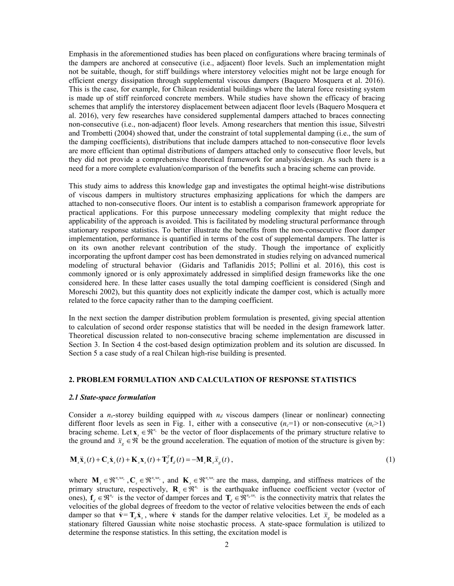Emphasis in the aforementioned studies has been placed on configurations where bracing terminals of the dampers are anchored at consecutive (i.e., adjacent) floor levels. Such an implementation might not be suitable, though, for stiff buildings where interstorey velocities might not be large enough for efficient energy dissipation through supplemental viscous dampers (Baquero Mosquera et al. 2016). This is the case, for example, for Chilean residential buildings where the lateral force resisting system is made up of stiff reinforced concrete members. While studies have shown the efficacy of bracing schemes that amplify the interstorey displacement between adjacent floor levels (Baquero Mosquera et al. 2016), very few researches have considered supplemental dampers attached to braces connecting non-consecutive (i.e., non-adjacent) floor levels. Among researchers that mention this issue, Silvestri and Trombetti (2004) showed that, under the constraint of total supplemental damping (i.e., the sum of the damping coefficients), distributions that include dampers attached to non-consecutive floor levels are more efficient than optimal distributions of dampers attached only to consecutive floor levels, but they did not provide a comprehensive theoretical framework for analysis/design. As such there is a need for a more complete evaluation/comparison of the benefits such a bracing scheme can provide.

This study aims to address this knowledge gap and investigates the optimal height-wise distributions of viscous dampers in multistory structures emphasizing applications for which the dampers are attached to non-consecutive floors. Our intent is to establish a comparison framework appropriate for practical applications. For this purpose unnecessary modeling complexity that might reduce the applicability of the approach is avoided. This is facilitated by modeling structural performance through stationary response statistics. To better illustrate the benefits from the non-consecutive floor damper implementation, performance is quantified in terms of the cost of supplemental dampers. The latter is on its own another relevant contribution of the study. Though the importance of explicitly incorporating the upfront damper cost has been demonstrated in studies relying on advanced numerical modeling of structural behavior (Gidaris and Taflanidis 2015; Pollini et al. 2016), this cost is commonly ignored or is only approximately addressed in simplified design frameworks like the one considered here. In these latter cases usually the total damping coefficient is considered (Singh and Moreschi 2002), but this quantity does not explicitly indicate the damper cost, which is actually more related to the force capacity rather than to the damping coefficient.

In the next section the damper distribution problem formulation is presented, giving special attention to calculation of second order response statistics that will be needed in the design framework latter. Theoretical discussion related to non-consecutive bracing scheme implementation are discussed in Section 3. In Section 4 the cost-based design optimization problem and its solution are discussed. In Section 5 a case study of a real Chilean high-rise building is presented.

# **2. PROBLEM FORMULATION AND CALCULATION OF RESPONSE STATISTICS**

#### *2.1 State-space formulation*

Consider a  $n_s$ -storey building equipped with  $n_d$  viscous dampers (linear or nonlinear) connecting different floor levels as seen in Fig. 1, either with a consecutive  $(n_c=1)$  or non-consecutive  $(n_c>1)$ bracing scheme. Let  $\mathbf{x}_{s} \in \mathbb{R}^{n_s}$  be the vector of floor displacements of the primary structure relative to the ground and  $\ddot{x}_g \in \mathcal{R}$  be the ground acceleration. The equation of motion of the structure is given by:

$$
\mathbf{M}_{s}\ddot{\mathbf{x}}_{s}(t) + \mathbf{C}_{s}\dot{\mathbf{x}}_{s}(t) + \mathbf{K}_{s}\mathbf{x}_{s}(t) + \mathbf{T}_{d}^{T}\mathbf{f}_{d}(t) = -\mathbf{M}_{s}\mathbf{R}_{s}\ddot{\mathbf{x}}_{g}(t),
$$
\n(1)

where  $\mathbf{M}_s \in \mathbb{R}^{n_s x n_s}$ ,  $\mathbf{C}_s \in \mathbb{R}^{n_s x n_s}$ , and  $\mathbf{K}_s \in \mathbb{R}^{n_s x n_s}$  are the mass, damping, and stiffness matrices of the primary structure, respectively,  $\mathbf{R}_s \in \mathbb{R}^{n_s}$  is the earthquake influence coefficient vector (vector of ones),  $f_a \in \mathbb{R}^{n_a}$  is the vector of damper forces and  $T_a \in \mathbb{R}^{n_a x n_s}$  is the connectivity matrix that relates the velocities of the global degrees of freedom to the vector of relative velocities between the ends of each damper so that  $\dot{v} = T_d \dot{x}_s$ , where  $\dot{v}$  stands for the damper relative velocities. Let  $\ddot{x}_s$  be modeled as a stationary filtered Gaussian white noise stochastic process. A state-space formulation is utilized to determine the response statistics. In this setting, the excitation model is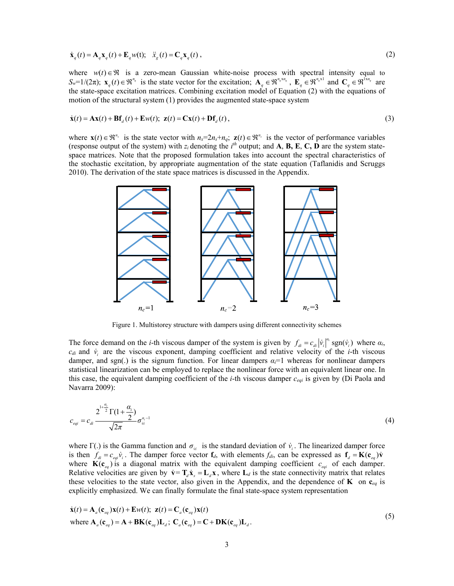$$
\dot{\mathbf{x}}_q(t) = \mathbf{A}_q \mathbf{x}_q(t) + \mathbf{E}_q w(t); \quad \ddot{x}_s(t) = \mathbf{C}_q \mathbf{x}_q(t) \,, \tag{2}
$$

where  $w(t) \in \mathcal{R}$  is a zero-mean Gaussian white-noise process with spectral intensity equal to  $S_w=1/(2\pi);$   $\mathbf{x}_q(t) \in \mathbb{R}^{n_q}$  is the state vector for the excitation;  $\mathbf{A}_q \in \mathbb{R}^{n_q \times n_q}$ ,  $\mathbf{E}_q \in \mathbb{R}^{n_q \times 1}$  and  $\mathbf{C}_q \in \mathbb{R}^{\overline{1} \times n_q}$  are the state-space excitation matrices. Combining excitation model of Equation (2) with the equations of motion of the structural system (1) provides the augmented state-space system

$$
\dot{\mathbf{x}}(t) = \mathbf{A}\mathbf{x}(t) + \mathbf{B}\mathbf{f}_d(t) + \mathbf{E}w(t); \ \mathbf{z}(t) = \mathbf{C}\mathbf{x}(t) + \mathbf{D}\mathbf{f}_d(t), \tag{3}
$$

where  $\mathbf{x}(t) \in \mathbb{R}^{n_x}$  is the state vector with  $n_x=2n_x+n_q$ ;  $\mathbf{z}(t) \in \mathbb{R}^{n_z}$  is the vector of performance variables (response output of the system) with  $z_i$  denoting the  $i^{th}$  output; and **A**, **B**, **E**, **C**, **D** are the system statespace matrices. Note that the proposed formulation takes into account the spectral characteristics of the stochastic excitation, by appropriate augmentation of the state equation (Taflanidis and Scruggs 2010). The derivation of the state space matrices is discussed in the Appendix.



Figure 1. Multistorey structure with dampers using different connectivity schemes

The force demand on the *i*-th viscous damper of the system is given by  $f_{di} = c_{di} |\dot{v}_i|^{\alpha} \operatorname{sgn}(\dot{v}_i)$  where  $\alpha_i$ ,  $c_{di}$  and  $\dot{v}_i$  are the viscous exponent, damping coefficient and relative velocity of the *i*-th viscous damper, and sgn(.) is the signum function. For linear dampers  $\alpha_i=1$  whereas for nonlinear dampers statistical linearization can be employed to replace the nonlinear force with an equivalent linear one. In this case, the equivalent damping coefficient of the *i*-th viscous damper *ceqi* is given by (Di Paola and Navarra 2009):

$$
c_{eqi} = c_{di} \frac{2^{1 + \frac{\alpha_i}{2}} \Gamma(1 + \frac{\alpha_i}{2})}{\sqrt{2\pi}} \sigma_{vi}^{\alpha_i - 1}
$$
 (4)

where Γ(.) is the Gamma function and  $\sigma_{vi}$  is the standard deviation of  $\dot{v}_i$ . The linearized damper force is then  $f_{di} = c_{eqi} \dot{v}_i$ . The damper force vector  $f_d$ , with elements  $f_{di}$ , can be expressed as  $f_d = K(c_{eq}) \dot{v}_i$ where  $\mathbf{K}(\mathbf{c}_{eq})$  is a diagonal matrix with the equivalent damping coefficient  $c_{eqi}$  of each damper. Relative velocities are given by  $\dot{v} = T_d \dot{x}_s = L_d x$ , where  $L_d$  is the state connectivity matrix that relates these velocities to the state vector, also given in the Appendix, and the dependence of **K** on  $\mathbf{c}_{eq}$  is explicitly emphasized. We can finally formulate the final state-space system representation

$$
\dot{\mathbf{x}}(t) = \mathbf{A}_a(\mathbf{c}_{eq})\mathbf{x}(t) + \mathbf{E}w(t); \ \mathbf{z}(t) = \mathbf{C}_a(\mathbf{c}_{eq})\mathbf{x}(t)
$$
\nwhere  $\mathbf{A}_a(\mathbf{c}_{eq}) = \mathbf{A} + \mathbf{B}\mathbf{K}(\mathbf{c}_{eq})\mathbf{L}_d$ ;  $\mathbf{C}_a(\mathbf{c}_{eq}) = \mathbf{C} + \mathbf{D}\mathbf{K}(\mathbf{c}_{eq})\mathbf{L}_d$ . (5)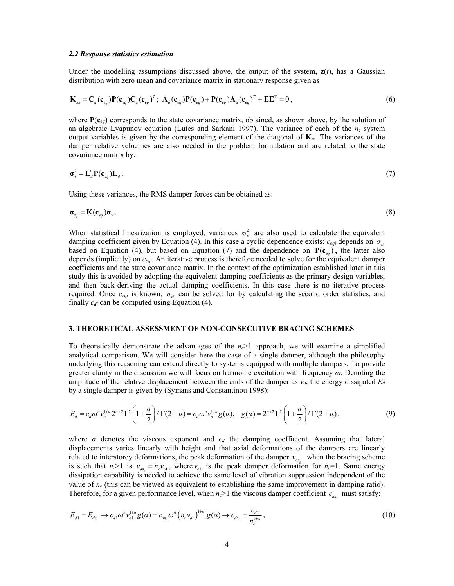#### *2.2 Response statistics estimation*

Under the modelling assumptions discussed above, the output of the system,  $z(t)$ , has a Gaussian distribution with zero mean and covariance matrix in stationary response given as

$$
\mathbf{K}_{\mathbf{z}\mathbf{z}} = \mathbf{C}_{a}(\mathbf{c}_{eq})\mathbf{P}(\mathbf{c}_{eq})\mathbf{C}_{a}(\mathbf{c}_{eq})^{T}; \ \mathbf{A}_{a}(\mathbf{c}_{eq})\mathbf{P}(\mathbf{c}_{eq}) + \mathbf{P}(\mathbf{c}_{eq})\mathbf{A}_{a}(\mathbf{c}_{eq})^{T} + \mathbf{E}\mathbf{E}^{T} = 0,
$$
\n(6)

where  $P(c_{eq})$  corresponds to the state covariance matrix, obtained, as shown above, by the solution of an algebraic Lyapunov equation (Lutes and Sarkani 1997). The variance of each of the  $n<sub>z</sub>$  system output variables is given by the corresponding element of the diagonal of **K***zz.* The variances of the damper relative velocities are also needed in the problem formulation and are related to the state covariance matrix by:

$$
\sigma_{\mathbf{v}}^2 = \mathbf{L}_d^T \mathbf{P}(\mathbf{c}_{eq}) \mathbf{L}_d \,. \tag{7}
$$

Using these variances, the RMS damper forces can be obtained as:

$$
\boldsymbol{\sigma}_{\mathbf{f}_d} = \mathbf{K}(\mathbf{c}_{eq}) \boldsymbol{\sigma}_{\mathbf{v}}.
$$

When statistical linearization is employed, variances  $\sigma_v^2$  are also used to calculate the equivalent damping coefficient given by Equation (4). In this case a cyclic dependence exists:  $c_{eqi}$  depends on  $\sigma_{vi}$ based on Equation (4), but based on Equation (7) and the dependence on  $P(c_{eq})$ , the latter also depends (implicitly) on *ceqi*. An iterative process is therefore needed to solve for the equivalent damper coefficients and the state covariance matrix. In the context of the optimization established later in this study this is avoided by adopting the equivalent damping coefficients as the primary design variables, and then back-deriving the actual damping coefficients. In this case there is no iterative process required. Once  $c_{eqi}$  is known,  $\sigma_{vi}$  can be solved for by calculating the second order statistics, and finally  $c_{di}$  can be computed using Equation (4).

### **3. THEORETICAL ASSESSMENT OF NON-CONSECUTIVE BRACING SCHEMES**

To theoretically demonstrate the advantages of the *nc*>1 approach, we will examine a simplified analytical comparison. We will consider here the case of a single damper, although the philosophy underlying this reasoning can extend directly to systems equipped with multiple dampers. To provide greater clarity in the discussion we will focus on harmonic excitation with frequency *ω*. Denoting the amplitude of the relative displacement between the ends of the damper as  $v<sub>o</sub>$ , the energy dissipated  $E<sub>d</sub>$ by a single damper is given by (Symans and Constantinou 1998):

$$
E_{d} = c_{d} \omega^{\alpha} v_{o}^{1+\alpha} 2^{\alpha+2} \Gamma^{2} \left( 1 + \frac{\alpha}{2} \right) / \Gamma(2+\alpha) = c_{d} \omega^{\alpha} v_{o}^{1+\alpha} g(\alpha); \quad g(\alpha) = 2^{\alpha+2} \Gamma^{2} \left( 1 + \frac{\alpha}{2} \right) / \Gamma(2+\alpha), \tag{9}
$$

where  $\alpha$  denotes the viscous exponent and  $c_d$  the damping coefficient. Assuming that lateral displacements varies linearly with height and that axial deformations of the dampers are linearly related to interstorey deformations, the peak deformation of the damper  $v_{on}$  when the bracing scheme is such that  $n_c > 1$  is  $v_{on_c} = n_c v_{ol}$ , where  $v_{ol}$  is the peak damper deformation for  $n_c = 1$ . Same energy dissipation capability is needed to achieve the same level of vibration suppression independent of the value of *nc* (this can be viewed as equivalent to establishing the same improvement in damping ratio). Therefore, for a given performance level, when  $n_c$ >1 the viscous damper coefficient  $c_{dn_c}$  must satisfy:

$$
E_{d1} = E_{dn_c} \to c_{d1} \omega^{\alpha} \nu_{o1}^{1+\alpha} g(\alpha) = c_{dn_c} \omega^{\alpha} \left( n_c \nu_{o1} \right)^{1+\alpha} g(\alpha) \to c_{dn_c} = \frac{c_{d1}}{n_c^{1+\alpha}}, \tag{10}
$$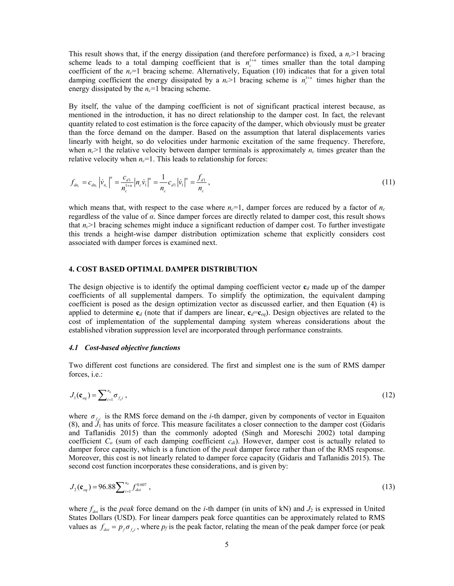This result shows that, if the energy dissipation (and therefore performance) is fixed, a  $n_c$  bracing scheme leads to a total damping coefficient that is  $n_c^{1+\alpha}$  times smaller than the total damping coefficient of the *nc*=1 bracing scheme. Alternatively, Equation (10) indicates that for a given total damping coefficient the energy dissipated by a  $n_c$  >1 bracing scheme is  $n_c^{1+a}$  times higher than the energy dissipated by the  $n_c=1$  bracing scheme.

By itself, the value of the damping coefficient is not of significant practical interest because, as mentioned in the introduction, it has no direct relationship to the damper cost. In fact, the relevant quantity related to cost estimation is the force capacity of the damper, which obviously must be greater than the force demand on the damper. Based on the assumption that lateral displacements varies linearly with height, so do velocities under harmonic excitation of the same frequency. Therefore, when  $n_c$ >1 the relative velocity between damper terminals is approximately  $n_c$  times greater than the relative velocity when  $n_c$ =1. This leads to relationship for forces:

$$
f_{d n_c} = c_{d n_c} |\dot{v}_{n_c}|^{\alpha} = \frac{c_{d1}}{n_c^{1+\alpha}} |n_c \dot{v}_1|^{\alpha} = \frac{1}{n_c} c_{d1} |\dot{v}_1|^{\alpha} = \frac{f_{d1}}{n_c},
$$
\n(11)

which means that, with respect to the case where  $n_c=1$ , damper forces are reduced by a factor of  $n_c$ regardless of the value of *α*. Since damper forces are directly related to damper cost, this result shows that  $n_c$ >1 bracing schemes might induce a significant reduction of damper cost. To further investigate this trends a height-wise damper distribution optimization scheme that explicitly considers cost associated with damper forces is examined next.

# **4. COST BASED OPTIMAL DAMPER DISTRIBUTION**

The design objective is to identify the optimal damping coefficient vector  $\mathbf{c}_d$  made up of the damper coefficients of all supplemental dampers. To simplify the optimization, the equivalent damping coefficient is posed as the design optimization vector as discussed earlier, and then Equation (4) is applied to determine  $\mathbf{c}_d$  (note that if dampers are linear,  $\mathbf{c}_d = \mathbf{c}_{eq}$ ). Design objectives are related to the cost of implementation of the supplemental damping system whereas considerations about the established vibration suppression level are incorporated through performance constraints.

#### *4.1 Cost-based objective functions*

Two different cost functions are considered. The first and simplest one is the sum of RMS damper forces, i.e.:

$$
J_1(\mathbf{c}_{eq}) = \sum_{i=1}^{n_d} \sigma_{f_d i} \,, \tag{12}
$$

where  $\sigma_{f_{i}}$  is the RMS force demand on the *i*-th damper, given by components of vector in Equaiton  $(8)$ , and  $\mathcal{J}_1$  has units of force. This measure facilitates a closer connection to the damper cost (Gidaris and Taflanidis 2015) than the commonly adopted (Singh and Moreschi 2002) total damping coefficient *C<sub>o</sub>* (sum of each damping coefficient *c<sub>di</sub>*). However, damper cost is actually related to damper force capacity, which is a function of the *peak* damper force rather than of the RMS response. Moreover, this cost is not linearly related to damper force capacity (Gidaris and Taflanidis 2015). The second cost function incorporates these considerations, and is given by:

$$
J_2(\mathbf{c}_{eq}) = 96.88 \sum_{i=1}^{n_d} f_{doi}^{0.607} , \qquad (13)
$$

where  $f_{dot}$  is the *peak* force demand on the *i*-th damper (in units of kN) and  $J_2$  is expressed in United States Dollars (USD). For linear dampers peak force quantities can be approximately related to RMS values as  $f_{dot} = p_f \sigma_{f_i}$ , where  $p_f$  is the peak factor, relating the mean of the peak damper force (or peak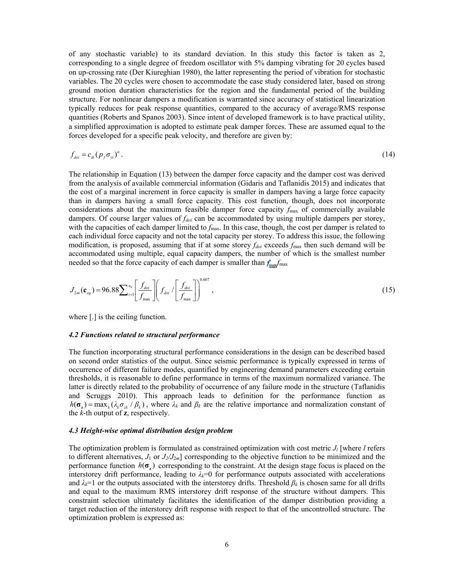of any stochastic variable) to its standard deviation. In this study this factor is taken as 2, corresponding to a single degree of freedom oscillator with 5% damping vibrating for 20 cycles based on up-crossing rate (Der Kiureghian 1980), the latter representing the period of vibration for stochastic variables. The 20 cycles were chosen to accommodate the case study considered later, based on strong ground motion duration characteristics for the region and the fundamental period of the building structure. For nonlinear dampers a modification is warranted since accuracy of statistical linearization typically reduces for peak response quantities, compared to the accuracy of average/RMS response quantities (Roberts and Spanos 2003). Since intent of developed framework is to have practical utility, a simplified approximation is adopted to estimate peak damper forces. These are assumed equal to the forces developed for a specific peak velocity, and therefore are given by:

$$
f_{\text{dot}} = c_{\text{di}} (p_f \sigma_{\text{vi}})^{\alpha} \,. \tag{14}
$$

The relationship in Equation (13) between the damper force capacity and the damper cost was derived from the analysis of available commercial information (Gidaris and Taflanidis 2015) and indicates that the cost of a marginal increment in force capacity is smaller in dampers having a large force capacity than in dampers having a small force capacity. This cost function, though, does not incorporate considerations about the maximum feasible damper force capacity  $f_{\text{max}}$  of commercially available dampers. Of course larger values of *fdoi* can be accommodated by using multiple dampers per storey, with the capacities of each damper limited to  $f_{\text{max}}$ . In this case, though, the cost per damper is related to each individual force capacity and not the total capacity per storey. To address this issue, the following modification, is proposed, assuming that if at some storey  $f_{dot}$  exceeds  $f_{max}$  then such demand will be accommodated using multiple, equal capacity dampers, the number of which is the smallest number needed so that the force capacity of each damper is smaller than  $f_{\text{max}}/$  max

$$
J_{2m}(\mathbf{c}_{eq}) = 96.88 \sum_{i=1}^{n_d} \left[ \frac{f_{doi}}{f_{\text{max}}} \right] \left( f_{doi} / \left[ \frac{f_{doi}}{f_{\text{max}}} \right] \right)^{0.607}, \tag{15}
$$

where [.] is the ceiling function.

#### *4.2 Functions related to structural performance*

The function incorporating structural performance considerations in the design can be described based on second order statistics of the output. Since seismic performance is typically expressed in terms of occurrence of different failure modes, quantified by engineering demand parameters exceeding certain thresholds, it is reasonable to define performance in terms of the maximum normalized variance. The latter is directly related to the probability of occurrence of any failure mode in the structure (Taflanidis and Scruggs 2010). This approach leads to definition for the performance function as  $h(\sigma_{\lambda}) = \max_{k} (\lambda_{k} \sigma_{\lambda} / \beta_{k})$ , where  $\lambda_{k}$  and  $\beta_{k}$  are the relative importance and normalization constant of the *k*-th output of **z**, respectively.

#### *4.3 Height-wise optimal distribution design problem*

The optimization problem is formulated as constrained optimization with cost metric  $J_l$  [where *l* refers to different alternatives,  $J_1$  or  $J_2/J_{2m}$ ] corresponding to the objective function to be minimized and the performance function  $h(\sigma)$  corresponding to the constraint. At the design stage focus is placed on the interstorey drift performance, leading to  $\lambda_k=0$  for performance outputs associated with accelerations and *λk*=1 or the outputs associated with the interstorey drifts. Threshold *β<sup>k</sup>* is chosen same for all drifts and equal to the maximum RMS interstorey drift response of the structure without dampers. This constraint selection ultimately facilitates the identification of the damper distribution providing a target reduction of the interstorey drift response with respect to that of the uncontrolled structure. The optimization problem is expressed as: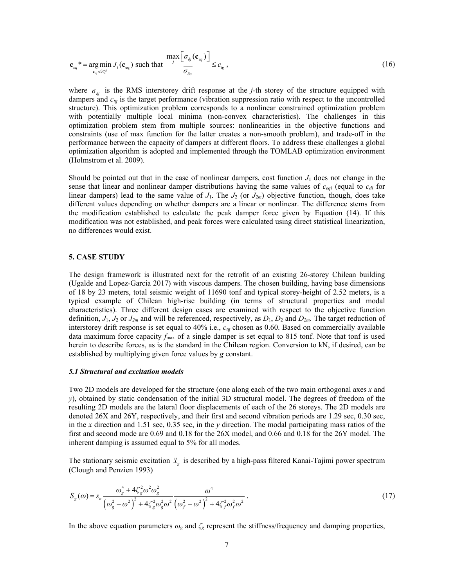$$
\mathbf{c}_{eq}^* = \underset{\mathbf{c}_{eq} \in \mathbb{N}_+^{n_d}}{\arg \min} J_l(\mathbf{c}_{eq}) \text{ such that } \frac{\max\left[\sigma_{\delta j}(\mathbf{c}_{eq})\right]}{\sigma_{\delta o}} \le c_{\epsilon g} \,,\tag{16}
$$

where  $\sigma_{\delta i}$  is the RMS interstorey drift response at the *j*-th storey of the structure equipped with dampers and *ctg* is the target performance (vibration suppression ratio with respect to the uncontrolled structure). This optimization problem corresponds to a nonlinear constrained optimization problem with potentially multiple local minima (non-convex characteristics). The challenges in this optimization problem stem from multiple sources: nonlinearities in the objective functions and constraints (use of max function for the latter creates a non-smooth problem), and trade-off in the performance between the capacity of dampers at different floors. To address these challenges a global optimization algorithm is adopted and implemented through the TOMLAB optimization environment (Holmstrom et al. 2009).

Should be pointed out that in the case of nonlinear dampers, cost function  $J_1$  does not change in the sense that linear and nonlinear damper distributions having the same values of  $c_{eqi}$  (equal to  $c_{di}$  for linear dampers) lead to the same value of  $J_1$ . The  $J_2$  (or  $J_{2m}$ ) objective function, though, does take different values depending on whether dampers are a linear or nonlinear. The difference stems from the modification established to calculate the peak damper force given by Equation (14). If this modification was not established, and peak forces were calculated using direct statistical linearization, no differences would exist.

#### **5. CASE STUDY**

The design framework is illustrated next for the retrofit of an existing 26-storey Chilean building (Ugalde and Lopez-Garcia 2017) with viscous dampers. The chosen building, having base dimensions of 18 by 23 meters, total seismic weight of 11690 tonf and typical storey-height of 2.52 meters, is a typical example of Chilean high-rise building (in terms of structural properties and modal characteristics). Three different design cases are examined with respect to the objective function definition,  $J_1$ ,  $J_2$  or  $J_{2m}$  and will be referenced, respectively, as  $D_1$ ,  $D_2$  and  $D_{2m}$ . The target reduction of interstorey drift response is set equal to 40% i.e.,  $c_{tg}$  chosen as 0.60. Based on commercially available data maximum force capacity  $f_{\text{max}}$  of a single damper is set equal to 815 tonf. Note that tonf is used herein to describe forces, as is the standard in the Chilean region. Conversion to kN, if desired, can be established by multiplying given force values by *g* constant.

# *5.1 Structural and excitation models*

Two 2D models are developed for the structure (one along each of the two main orthogonal axes *x* and *y*), obtained by static condensation of the initial 3D structural model. The degrees of freedom of the resulting 2D models are the lateral floor displacements of each of the 26 storeys. The 2D models are denoted 26X and 26Y, respectively, and their first and second vibration periods are 1.29 sec, 0.30 sec, in the *x* direction and 1.51 sec, 0.35 sec, in the *y* direction. The modal participating mass ratios of the first and second mode are 0.69 and 0.18 for the 26X model, and 0.66 and 0.18 for the 26Y model. The inherent damping is assumed equal to 5% for all modes.

The stationary seismic excitation  $\ddot{x}_g$  is described by a high-pass filtered Kanai-Tajimi power spectrum (Clough and Penzien 1993)

$$
S_g(\omega) = s_o \frac{\omega_g^4 + 4\zeta_g^2 \omega^2 \omega_g^2}{(\omega_g^2 - \omega^2)^2 + 4\zeta_g^2 \omega_g^2 \omega^2} \frac{\omega^4}{(\omega_f^2 - \omega^2)^2 + 4\zeta_f^2 \omega_f^2 \omega^2}.
$$
 (17)

In the above equation parameters  $\omega_g$  and  $\zeta_g$  represent the stiffness/frequency and damping properties,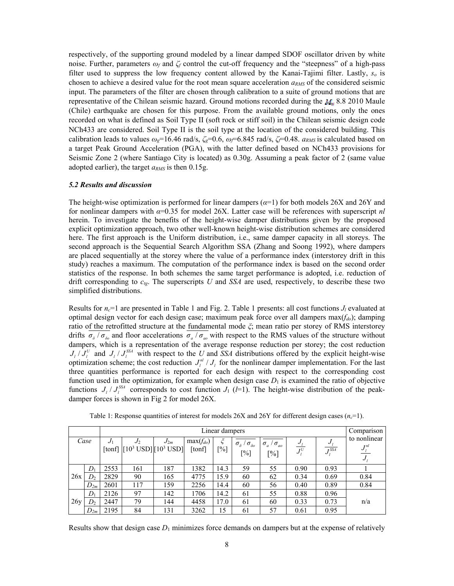respectively, of the supporting ground modeled by a linear damped SDOF oscillator driven by white noise. Further, parameters *ω<sup>f</sup>* and *ζf* control the cut-off frequency and the "steepness" of a high-pass filter used to suppress the low frequency content allowed by the Kanai-Tajimi filter. Lastly, *so* is chosen to achieve a desired value for the root mean square acceleration *aRMS* of the considered seismic input. The parameters of the filter are chosen through calibration to a suite of ground motions that are representative of the Chilean seismic hazard. Ground motions recorded during the  $M_w$  8.8 2010 Maule (Chile) earthquake are chosen for this purpose. From the available ground motions, only the ones recorded on what is defined as Soil Type II (soft rock or stiff soil) in the Chilean seismic design code NCh433 are considered. Soil Type II is the soil type at the location of the considered building. This calibration leads to values  $\omega_g$ =16.46 rad/s,  $\zeta_g$ =0.6,  $\omega_f$ =6.845 rad/s,  $\zeta_f$ =0.48. *a<sub>RMS</sub>* is calculated based on a target Peak Ground Acceleration (PGA), with the latter defined based on NCh433 provisions for Seismic Zone 2 (where Santiago City is located) as 0.30g. Assuming a peak factor of 2 (same value adopted earlier), the target  $a_{RMS}$  is then 0.15g.

#### *5.2 Results and discussion*

The height-wise optimization is performed for linear dampers  $(\alpha=1)$  for both models 26X and 26Y and for nonlinear dampers with *α*=0.35 for model 26X. Latter case will be references with superscript *nl*  herein. To investigate the benefits of the height-wise damper distributions given by the proposed explicit optimization approach, two other well-known height-wise distribution schemes are considered here. The first approach is the Uniform distribution, i.e., same damper capacity in all storeys. The second approach is the Sequential Search Algorithm SSA (Zhang and Soong 1992), where dampers are placed sequentially at the storey where the value of a performance index (interstorey drift in this study) reaches a maximum. The computation of the performance index is based on the second order statistics of the response. In both schemes the same target performance is adopted, i.e. reduction of drift corresponding to *ctg*. The superscripts *U* and *SSA* are used, respectively, to describe these two simplified distributions.

Results for  $n_c=1$  are presented in Table 1 and Fig. 2. Table 1 presents: all cost functions  $J_l$  evaluated at optimal design vector for each design case; maximum peak force over all dampers max(*fdo*); damping ratio of the retrofitted structure at the fundamental mode *ξ*; mean ratio per storey of RMS interstorey drifts  $\overline{\sigma_s/\sigma_{s_o}}$  and floor accelerations  $\sigma_a/\sigma_{s_o}$  with respect to the RMS values of the structure without dampers, which is a representation of the average response reduction per storey; the cost reduction  $J_l / J_l^U$  and  $J_l / J_l^{\text{SSA}}$  with respect to the *U* and *SSA* distributions offered by the explicit height-wise optimization scheme; the cost reduction  $J_l^{nl}/J_l$  for the nonlinear damper implementation. For the last three quantities performance is reported for each design with respect to the corresponding cost function used in the optimization, for example when design case  $D_1$  is examined the ratio of objective functions  $J_l / J_l^{SSA}$  corresponds to cost function  $J_l$  (*l*=1). The height-wise distribution of the peakdamper forces is shown in Fig 2 for model 26X.

|      |          | Linear dampers |                                           |          |                         |          |                                                               |                                                              |                               |                                          | Comparison                          |
|------|----------|----------------|-------------------------------------------|----------|-------------------------|----------|---------------------------------------------------------------|--------------------------------------------------------------|-------------------------------|------------------------------------------|-------------------------------------|
| Case |          | $J_1$          | $J_2$<br>[tonf] $[10^3$ USD] $[10^3$ USD] | $J_{2m}$ | $max(f_{do})$<br>[tonf] | ζ<br>[%] | $\sigma_{\delta}$<br>$\sigma_{\delta o}$<br>$\lceil\% \rceil$ | $\sigma_a$ /<br>$\frac{1}{\sigma_{ao}}$<br>$\lceil\% \rceil$ | $J_{l}$<br>$\overline{J}_I^U$ | $J_{l}$<br>J <sub>i</sub> <sup>SSA</sup> | to nonlinear<br>$J_l^{nl}$<br>$J_i$ |
| 26x  | $D_1$    | 2553           | 161                                       | 187      | 1382                    | 14.3     | 59                                                            | 55                                                           | 0.90                          | 0.93                                     |                                     |
|      | D,       | 2829           | 90                                        | 165      | 4775                    | 15.9     | 60                                                            | 62                                                           | 0.34                          | 0.69                                     | 0.84                                |
|      | $D_{2m}$ | 2601           | 117                                       | 159      | 2256                    | 14.4     | 60                                                            | 56                                                           | 0.40                          | 0.89                                     | 0.84                                |
| 26y  | $D_1$    | 2126           | 97                                        | 142      | 1706                    | 14.2     | 61                                                            | 55                                                           | 0.88                          | 0.96                                     | n/a                                 |
|      | $D_2$    | 2447           | 79                                        | 144      | 4458                    | 17.0     | 61                                                            | 60                                                           | 0.33                          | 0.73                                     |                                     |
|      | $D_{2m}$ | 2195           | 84                                        | 131      | 3262                    | 15       | 61                                                            | 57                                                           | 0.61                          | 0.95                                     |                                     |

Table 1: Response quantities of interest for models 26X and 26Y for different design cases (*nc*=1).

Results show that design case  $D_1$  minimizes force demands on dampers but at the expense of relatively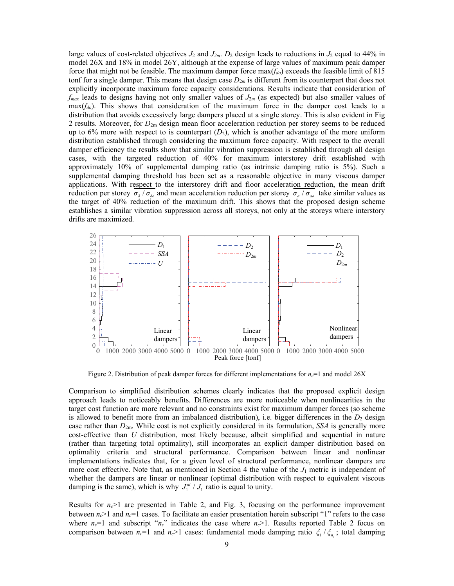large values of cost-related objectives  $J_2$  and  $J_{2m}$ .  $D_2$  design leads to reductions in  $J_2$  equal to 44% in model 26X and 18% in model 26Y, although at the expense of large values of maximum peak damper force that might not be feasible. The maximum damper force max(*fdo*) exceeds the feasible limit of 815 tonf for a single damper. This means that design case  $D_{2m}$  is different from its counterpart that does not explicitly incorporate maximum force capacity considerations. Results indicate that consideration of *fmax* leads to designs having not only smaller values of *J*2*<sup>m</sup>* (as expected) but also smaller values of  $\max(f_{do})$ . This shows that consideration of the maximum force in the damper cost leads to a distribution that avoids excessively large dampers placed at a single storey. This is also evident in Fig 2 results. Moreover, for *D*2m design mean floor acceleration reduction per storey seems to be reduced up to 6% more with respect to is counterpart  $(D_2)$ , which is another advantage of the more uniform distribution established through considering the maximum force capacity. With respect to the overall damper efficiency the results show that similar vibration suppression is established through all design cases, with the targeted reduction of 40% for maximum interstorey drift established with approximately 10% of supplemental damping ratio (as intrinsic damping ratio is 5%). Such a supplemental damping threshold has been set as a reasonable objective in many viscous damper applications. With respect to the interstorey drift and floor acceleration reduction, the mean drift reduction per storey  $\sigma_{\delta}/\sigma_{\delta\rho}$  and mean acceleration reduction per storey  $\sigma_{a}/\sigma_{a\rho}$  take similar values as the target of 40% reduction of the maximum drift. This shows that the proposed design scheme establishes a similar vibration suppression across all storeys, not only at the storeys where interstory drifts are maximized.



Figure 2. Distribution of peak damper forces for different implementations for  $n_c$ =1 and model 26X

Comparison to simplified distribution schemes clearly indicates that the proposed explicit design approach leads to noticeably benefits. Differences are more noticeable when nonlinearities in the target cost function are more relevant and no constraints exist for maximum damper forces (so scheme is allowed to benefit more from an imbalanced distribution), i.e. bigger differences in the  $D_2$  design case rather than *D*2m. While cost is not explicitly considered in its formulation, *SSA* is generally more cost-effective than *U* distribution, most likely because, albeit simplified and sequential in nature (rather than targeting total optimality), still incorporates an explicit damper distribution based on optimality criteria and structural performance. Comparison between linear and nonlinear implementations indicates that, for a given level of structural performance, nonlinear dampers are more cost effective. Note that, as mentioned in Section 4 the value of the  $J_1$  metric is independent of whether the dampers are linear or nonlinear (optimal distribution with respect to equivalent viscous damping is the same), which is why  $J_1^{nl}/J_1$  ratio is equal to unity.

Results for  $n_c$ >1 are presented in Table 2, and Fig. 3, focusing on the performance improvement between  $n_c$  and  $n_c$  =1 cases. To facilitate an easier presentation herein subscript "1" refers to the case where  $n_c=1$  and subscript " $n_c$ " indicates the case where  $n_c>1$ . Results reported Table 2 focus on comparison between  $n_c=1$  and  $n_c>1$  cases: fundamental mode damping ratio  $\zeta_1/\zeta_n$ ; total damping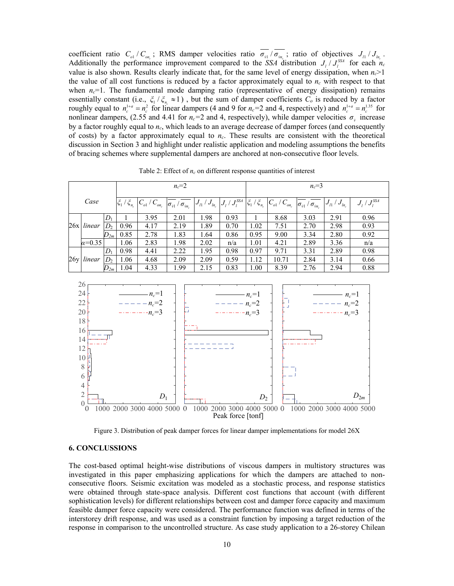coefficient ratio  $C_{ol}/C_{on_c}$ ; RMS damper velocities ratio  $\sigma_{v_l}/\sigma_{v_{n_c}}$ ; ratio of objectives  $J_{l_1}/J_{l_{n_c}}$ . Additionally the performance improvement compared to the *SSA* distribution  $J_l / J_l^{SSA}$  for each  $n_c$ value is also shown. Results clearly indicate that, for the same level of energy dissipation, when  $n_c$  >1 the value of all cost functions is reduced by a factor approximately equal to  $n_c$  with respect to that when  $n_c=1$ . The fundamental mode damping ratio (representative of energy dissipation) remains essentially constant (i.e.,  $\zeta_1 / \zeta_n \approx 1$ ), but the sum of damper coefficients  $C_o$  is reduced by a factor roughly equal to  $n_c^{1+a} = n_c^2$  for linear dampers (4 and 9 for  $n_c=2$  and 4, respectively) and  $n_c^{1+a} = n_c^{1.35}$  for nonlinear dampers, (2.55 and 4.41 for  $n_c=2$  and 4, respectively), while damper velocities  $\sigma_{\gamma}$  increase by a factor roughly equal to *nc*, which leads to an average decrease of damper forces (and consequently of costs) by a factor approximately equal to *nc*. These results are consistent with the theoretical discussion in Section 3 and highlight under realistic application and modeling assumptions the benefits of bracing schemes where supplemental dampers are anchored at non-consecutive floor levels.

*Case*   $n_c = 2$   $n_c = 3$  $\frac{1}{\zeta_1} \frac{1}{\zeta_{n_c}} \left[ C_{_{o1}} \left/ C_{_{o n_c}} \right. \right| \overline{\sigma_{_{\dot{v}1}}} \left/ \overline{\sigma_{_{\dot{v}n_c}}} \right] \left. J_{_{I}} \left/ J_{_{I n_c}} \right| J_{_{I}} \left/ J_{_{I n_c}} \right. \right]$  $J_{\scriptscriptstyle I}$  /  $J_{\scriptscriptstyle I}^{\rm SSA}$   $\left| \xi_{\scriptscriptstyle 1} \right|$  /  $\xi_{\scriptscriptstyle n_{\scriptscriptstyle c}}$   $\left| C_{\scriptscriptstyle o1} \right|$  /  $C_{\scriptscriptstyle o n_{\scriptscriptstyle c}}$  $C_{o1}$  /  $C_{o n_c}$   $\boxed{\sigma_{\widetilde{v}1}}$  /  $\boxed{\sigma_{\widetilde{v} n_c}}$   $\boxed{J_{l1}$  /  $J_{l n_c}}$   $\boxed{J_{l}}$  /  $J_{l}^{\rm SSA}$ 26x *linear*   $D_1$  1 3.95 2.01 1.98 0.93 1 8.68 3.03 2.91 0.96  $D_2$  | 0.96 | 4.17 | 2.19 | 1.89 | 0.70 | 1.02 | 7.51 | 2.70 | 2.98 | 0.93  $D_{2m}$  | 0.85 | 2.78 | 1.83 | 1.64 | 0.86 | 0.95 | 9.00 | 3.34 | 2.80 | 0.92 *α=*0.35 1.06 2.83 1.98 2.02 n/a 1.01 4.21 2.89 3.36 n/a 26y *linear*   $D_1$  | 0.98 | 4.41 | 2.22 | 1.95 | 0.98 | 0.97 | 9.71 | 3.31 | 2.89 | 0.98  $D_2$  1.06 | 4.68 | 2.09 | 2.09 | 0.59 | 1.12 | 10.71 | 2.84 | 3.14 | 0.66  $D_{2m}$  1.04 | 4.33 | 1.99 | 2.15 | 0.83 | 1.00 | 8.39 | 2.76 | 2.94 | 0.88

Table 2: Effect of  $n_c$  on different response quantities of interest



Figure 3. Distribution of peak damper forces for linear damper implementations for model 26X

# **6. CONCLUSSIONS**

The cost-based optimal height-wise distributions of viscous dampers in multistory structures was investigated in this paper emphasizing applications for which the dampers are attached to nonconsecutive floors. Seismic excitation was modeled as a stochastic process, and response statistics were obtained through state-space analysis. Different cost functions that account (with different sophistication levels) for different relationships between cost and damper force capacity and maximum feasible damper force capacity were considered. The performance function was defined in terms of the interstorey drift response, and was used as a constraint function by imposing a target reduction of the response in comparison to the uncontrolled structure. As case study application to a 26-storey Chilean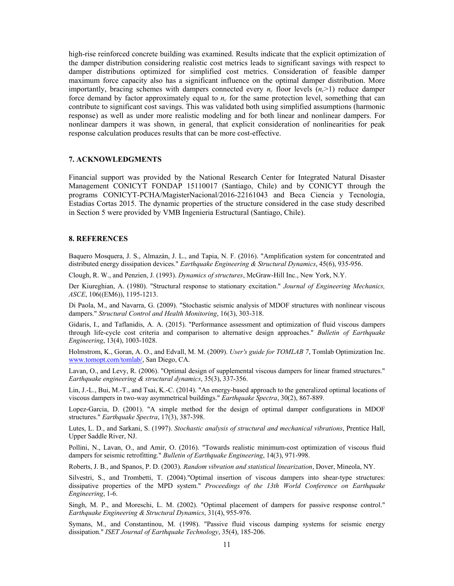high-rise reinforced concrete building was examined. Results indicate that the explicit optimization of the damper distribution considering realistic cost metrics leads to significant savings with respect to damper distributions optimized for simplified cost metrics. Consideration of feasible damper maximum force capacity also has a significant influence on the optimal damper distribution. More importantly, bracing schemes with dampers connected every  $n_c$  floor levels  $(n_c>1)$  reduce damper force demand by factor approximately equal to  $n_c$  for the same protection level, something that can contribute to significant cost savings. This was validated both using simplified assumptions (harmonic response) as well as under more realistic modeling and for both linear and nonlinear dampers. For nonlinear dampers it was shown, in general, that explicit consideration of nonlinearities for peak response calculation produces results that can be more cost-effective.

# **7. ACKNOWLEDGMENTS**

Financial support was provided by the National Research Center for Integrated Natural Disaster Management CONICYT FONDAP 15110017 (Santiago, Chile) and by CONICYT through the programs CONICYT-PCHA/MagisterNacional/2016-22161043 and Beca Ciencia y Tecnologia, Estadias Cortas 2015. The dynamic properties of the structure considered in the case study described in Section 5 were provided by VMB Ingenieria Estructural (Santiago, Chile).

# **8. REFERENCES**

Baquero Mosquera, J. S., Almazán, J. L., and Tapia, N. F. (2016). "Amplification system for concentrated and distributed energy dissipation devices." *Earthquake Engineering & Structural Dynamics*, 45(6), 935-956.

Clough, R. W., and Penzien, J. (1993). *Dynamics of structures*, McGraw-Hill Inc., New York, N.Y.

Der Kiureghian, A. (1980). "Structural response to stationary excitation." *Journal of Engineering Mechanics, ASCE*, 106((EM6)), 1195-1213.

Di Paola, M., and Navarra, G. (2009). "Stochastic seismic analysis of MDOF structures with nonlinear viscous dampers." *Structural Control and Health Monitoring*, 16(3), 303-318.

Gidaris, I., and Taflanidis, A. A. (2015). "Performance assessment and optimization of fluid viscous dampers through life-cycle cost criteria and comparison to alternative design approaches." *Bulletin of Earthquake Engineering*, 13(4), 1003-1028.

Holmstrom, K., Goran, A. O., and Edvall, M. M. (2009). *User's guide for TOMLAB 7*, Tomlab Optimization Inc. www.tomopt.com/tomlab/, San Diego, CA.

Lavan, O., and Levy, R. (2006). "Optimal design of supplemental viscous dampers for linear framed structures." *Earthquake engineering & structural dynamics*, 35(3), 337-356.

Lin, J.-L., Bui, M.-T., and Tsai, K.-C. (2014). "An energy-based approach to the generalized optimal locations of viscous dampers in two-way asymmetrical buildings." *Earthquake Spectra*, 30(2), 867-889.

Lopez-Garcia, D. (2001). "A simple method for the design of optimal damper configurations in MDOF structures." *Earthquake Spectra*, 17(3), 387-398.

Lutes, L. D., and Sarkani, S. (1997). *Stochastic analysis of structural and mechanical vibrations*, Prentice Hall, Upper Saddle River, NJ.

Pollini, N., Lavan, O., and Amir, O. (2016). "Towards realistic minimum-cost optimization of viscous fluid dampers for seismic retrofitting." *Bulletin of Earthquake Engineering*, 14(3), 971-998.

Roberts, J. B., and Spanos, P. D. (2003). *Random vibration and statistical linearization*, Dover, Mineola, NY.

Silvestri, S., and Trombetti, T. (2004)."Optimal insertion of viscous dampers into shear-type structures: dissipative properties of the MPD system." *Proceedings of the 13th World Conference on Earthquake Engineering*, 1-6.

Singh, M. P., and Moreschi, L. M. (2002). "Optimal placement of dampers for passive response control." *Earthquake Engineering & Structural Dynamics*, 31(4), 955-976.

Symans, M., and Constantinou, M. (1998). "Passive fluid viscous damping systems for seismic energy dissipation." *ISET Journal of Earthquake Technology*, 35(4), 185-206.